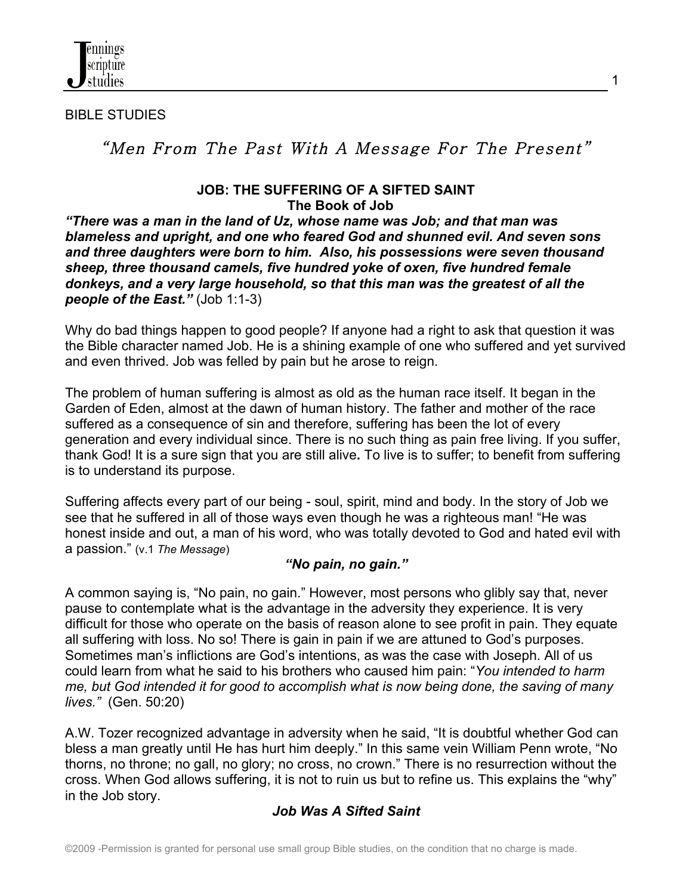

#### BIBLE STUDIES

# "Men From The Past With A Message For The Present"

#### **JOB: THE SUFFERING OF A SIFTED SAINT The Book of Job**

*"There was a man in the land of Uz, whose name was Job; and that man was blameless and upright, and one who feared God and shunned evil. And seven sons and three daughters were born to him. Also, his possessions were seven thousand sheep, three thousand camels, five hundred yoke of oxen, five hundred female donkeys, and a very large household, so that this man was the greatest of all the people of the East."* (Job 1:1-3)

Why do bad things happen to good people? If anyone had a right to ask that question it was the Bible character named Job. He is a shining example of one who suffered and yet survived and even thrived. Job was felled by pain but he arose to reign.

The problem of human suffering is almost as old as the human race itself. It began in the Garden of Eden, almost at the dawn of human history. The father and mother of the race suffered as a consequence of sin and therefore, suffering has been the lot of every generation and every individual since. There is no such thing as pain free living. If you suffer, thank God! It is a sure sign that you are still alive**.** To live is to suffer; to benefit from suffering is to understand its purpose.

Suffering affects every part of our being - soul, spirit, mind and body. In the story of Job we see that he suffered in all of those ways even though he was a righteous man! "He was honest inside and out, a man of his word, who was totally devoted to God and hated evil with a passion." (v.1 *The Message*)

#### *"No pain, no gain."*

A common saying is, "No pain, no gain." However, most persons who glibly say that, never pause to contemplate what is the advantage in the adversity they experience. It is very difficult for those who operate on the basis of reason alone to see profit in pain. They equate all suffering with loss. No so! There is gain in pain if we are attuned to God's purposes. Sometimes man's inflictions are God's intentions, as was the case with Joseph. All of us could learn from what he said to his brothers who caused him pain: "*You intended to harm me, but God intended it for good to accomplish what is now being done, the saving of many lives."* (Gen. 50:20)

A.W. Tozer recognized advantage in adversity when he said, "It is doubtful whether God can bless a man greatly until He has hurt him deeply." In this same vein William Penn wrote, "No thorns, no throne; no gall, no glory; no cross, no crown." There is no resurrection without the cross. When God allows suffering, it is not to ruin us but to refine us. This explains the "why" in the Job story.

# *Job Was A Sifted Saint*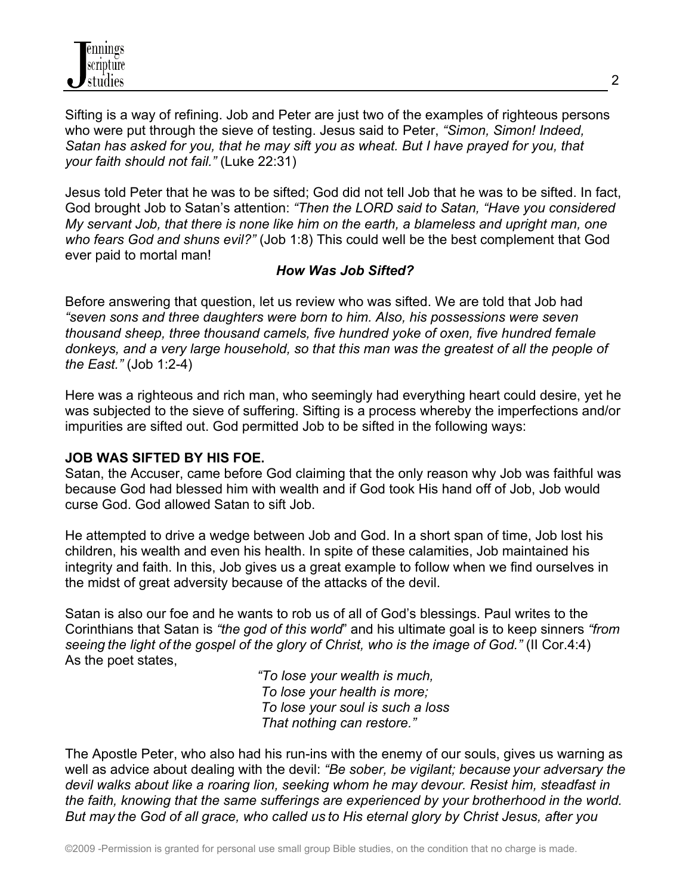Sifting is a way of refining. Job and Peter are just two of the examples of righteous persons who were put through the sieve of testing. Jesus said to Peter, *"Simon, Simon! Indeed, Satan has asked for you, that he may sift you as wheat. But I have prayed for you, that your faith should not fail."* (Luke 22:31)

Jesus told Peter that he was to be sifted; God did not tell Job that he was to be sifted. In fact, God brought Job to Satan's attention: *"Then the LORD said to Satan, "Have you considered My servant Job, that there is none like him on the earth, a blameless and upright man, one who fears God and shuns evil?"* (Job 1:8) This could well be the best complement that God ever paid to mortal man!

#### *How Was Job Sifted?*

Before answering that question, let us review who was sifted. We are told that Job had *"seven sons and three daughters were born to him. Also, his possessions were seven thousand sheep, three thousand camels, five hundred yoke of oxen, five hundred female donkeys, and a very large household, so that this man was the greatest of all the people of the East."* (Job 1:2-4)

Here was a righteous and rich man, who seemingly had everything heart could desire, yet he was subjected to the sieve of suffering. Sifting is a process whereby the imperfections and/or impurities are sifted out. God permitted Job to be sifted in the following ways:

# **JOB WAS SIFTED BY HIS FOE.**

Satan, the Accuser, came before God claiming that the only reason why Job was faithful was because God had blessed him with wealth and if God took His hand off of Job, Job would curse God. God allowed Satan to sift Job.

He attempted to drive a wedge between Job and God. In a short span of time, Job lost his children, his wealth and even his health. In spite of these calamities, Job maintained his integrity and faith. In this, Job gives us a great example to follow when we find ourselves in the midst of great adversity because of the attacks of the devil.

Satan is also our foe and he wants to rob us of all of God's blessings. Paul writes to the Corinthians that Satan is *"the god of this world*" and his ultimate goal is to keep sinners *"from seeing the light of the gospel of the glory of Christ, who is the image of God."* (II Cor.4:4) As the poet states,

> *"To lose your wealth is much, To lose your health is more; To lose your soul is such a loss That nothing can restore."*

The Apostle Peter, who also had his run-ins with the enemy of our souls, gives us warning as well as advice about dealing with the devil: *"Be sober, be vigilant; because your adversary the devil walks about like a roaring lion, seeking whom he may devour. Resist him, steadfast in the faith, knowing that the same sufferings are experienced by your brotherhood in the world. But may the God of all grace, who called us to His eternal glory by Christ Jesus, after you*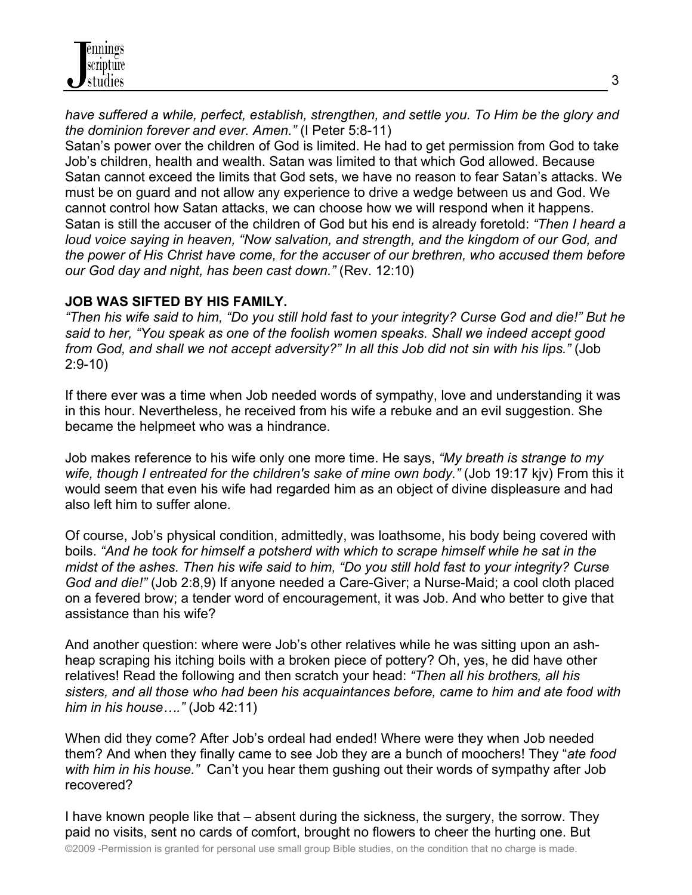*have suffered a while, perfect, establish, strengthen, and settle you. To Him be the glory and the dominion forever and ever. Amen."* (I Peter 5:8-11)

Satan's power over the children of God is limited. He had to get permission from God to take Job's children, health and wealth. Satan was limited to that which God allowed. Because Satan cannot exceed the limits that God sets, we have no reason to fear Satan's attacks. We must be on guard and not allow any experience to drive a wedge between us and God. We cannot control how Satan attacks, we can choose how we will respond when it happens. Satan is still the accuser of the children of God but his end is already foretold: *"Then I heard a loud voice saying in heaven, "Now salvation, and strength, and the kingdom of our God, and the power of His Christ have come, for the accuser of our brethren, who accused them before our God day and night, has been cast down."* (Rev. 12:10)

#### **JOB WAS SIFTED BY HIS FAMILY.**

*"Then his wife said to him, "Do you still hold fast to your integrity? Curse God and die!" But he said to her, "You speak as one of the foolish women speaks. Shall we indeed accept good from God, and shall we not accept adversity?" In all this Job did not sin with his lips."* (Job 2:9-10)

If there ever was a time when Job needed words of sympathy, love and understanding it was in this hour. Nevertheless, he received from his wife a rebuke and an evil suggestion. She became the helpmeet who was a hindrance.

Job makes reference to his wife only one more time. He says, *"My breath is strange to my wife, though I entreated for the children's sake of mine own body."* (Job 19:17 kjv) From this it would seem that even his wife had regarded him as an object of divine displeasure and had also left him to suffer alone.

Of course, Job's physical condition, admittedly, was loathsome, his body being covered with boils. *"And he took for himself a potsherd with which to scrape himself while he sat in the midst of the ashes. Then his wife said to him, "Do you still hold fast to your integrity? Curse God and die!"* (Job 2:8,9) If anyone needed a Care-Giver; a Nurse-Maid; a cool cloth placed on a fevered brow; a tender word of encouragement, it was Job. And who better to give that assistance than his wife?

And another question: where were Job's other relatives while he was sitting upon an ashheap scraping his itching boils with a broken piece of pottery? Oh, yes, he did have other relatives! Read the following and then scratch your head: *"Then all his brothers, all his sisters, and all those who had been his acquaintances before, came to him and ate food with him in his house…."* (Job 42:11)

When did they come? After Job's ordeal had ended! Where were they when Job needed them? And when they finally came to see Job they are a bunch of moochers! They "*ate food with him in his house."* Can't you hear them gushing out their words of sympathy after Job recovered?

I have known people like that – absent during the sickness, the surgery, the sorrow. They paid no visits, sent no cards of comfort, brought no flowers to cheer the hurting one. But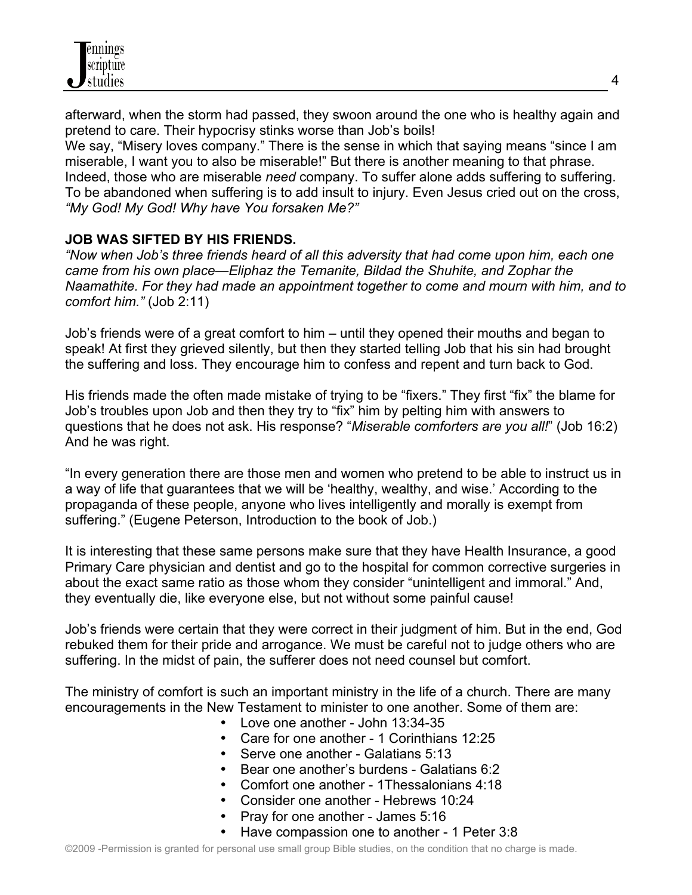

afterward, when the storm had passed, they swoon around the one who is healthy again and pretend to care. Their hypocrisy stinks worse than Job's boils! We say, "Misery loves company." There is the sense in which that saying means "since I am miserable, I want you to also be miserable!" But there is another meaning to that phrase. Indeed, those who are miserable *need* company. To suffer alone adds suffering to suffering. To be abandoned when suffering is to add insult to injury. Even Jesus cried out on the cross, *"My God! My God! Why have You forsaken Me?"* 

#### **JOB WAS SIFTED BY HIS FRIENDS.**

*"Now when Job's three friends heard of all this adversity that had come upon him, each one came from his own place—Eliphaz the Temanite, Bildad the Shuhite, and Zophar the Naamathite. For they had made an appointment together to come and mourn with him, and to comfort him."* (Job 2:11)

Job's friends were of a great comfort to him – until they opened their mouths and began to speak! At first they grieved silently, but then they started telling Job that his sin had brought the suffering and loss. They encourage him to confess and repent and turn back to God.

His friends made the often made mistake of trying to be "fixers." They first "fix" the blame for Job's troubles upon Job and then they try to "fix" him by pelting him with answers to questions that he does not ask. His response? "*Miserable comforters are you all!*" (Job 16:2) And he was right.

"In every generation there are those men and women who pretend to be able to instruct us in a way of life that guarantees that we will be 'healthy, wealthy, and wise.' According to the propaganda of these people, anyone who lives intelligently and morally is exempt from suffering." (Eugene Peterson, Introduction to the book of Job.)

It is interesting that these same persons make sure that they have Health Insurance, a good Primary Care physician and dentist and go to the hospital for common corrective surgeries in about the exact same ratio as those whom they consider "unintelligent and immoral." And, they eventually die, like everyone else, but not without some painful cause!

Job's friends were certain that they were correct in their judgment of him. But in the end, God rebuked them for their pride and arrogance. We must be careful not to judge others who are suffering. In the midst of pain, the sufferer does not need counsel but comfort.

The ministry of comfort is such an important ministry in the life of a church. There are many encouragements in the New Testament to minister to one another. Some of them are:

- Love one another John 13:34-35
- Care for one another 1 Corinthians 12:25
- Serve one another Galatians 5:13
- Bear one another's burdens Galatians 6:2
- Comfort one another 1Thessalonians 4:18
- Consider one another Hebrews 10:24
- Pray for one another James 5:16
- Have compassion one to another 1 Peter 3:8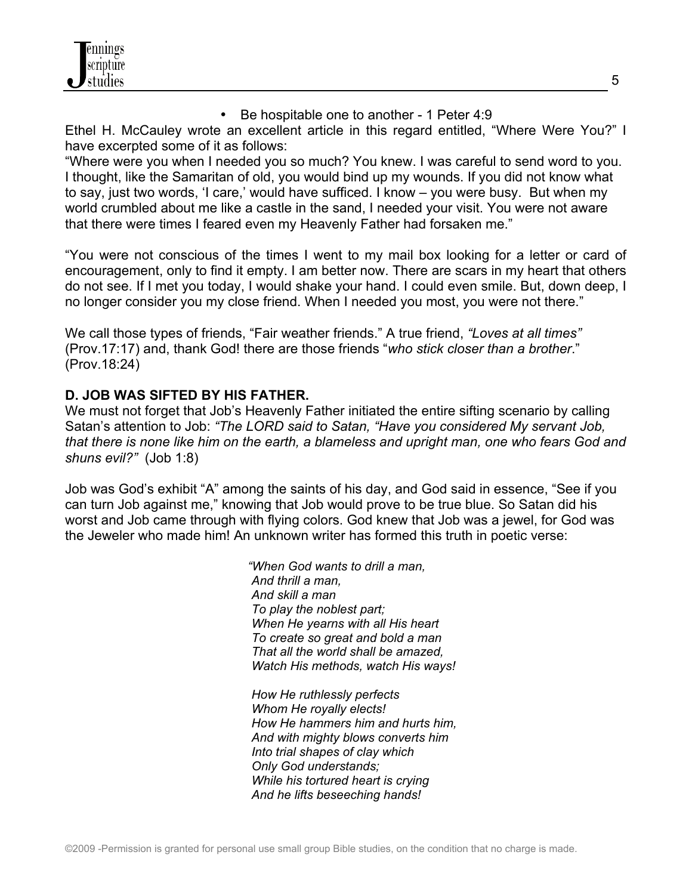

• Be hospitable one to another - 1 Peter 4:9

Ethel H. McCauley wrote an excellent article in this regard entitled, "Where Were You?" I have excerpted some of it as follows:

"Where were you when I needed you so much? You knew. I was careful to send word to you. I thought, like the Samaritan of old, you would bind up my wounds. If you did not know what to say, just two words, 'I care,' would have sufficed. I know – you were busy. But when my world crumbled about me like a castle in the sand, I needed your visit. You were not aware that there were times I feared even my Heavenly Father had forsaken me."

"You were not conscious of the times I went to my mail box looking for a letter or card of encouragement, only to find it empty. I am better now. There are scars in my heart that others do not see. If I met you today, I would shake your hand. I could even smile. But, down deep, I no longer consider you my close friend. When I needed you most, you were not there."

We call those types of friends, "Fair weather friends." A true friend, *"Loves at all times"* (Prov.17:17) and, thank God! there are those friends "*who stick closer than a brother*." (Prov.18:24)

# **D. JOB WAS SIFTED BY HIS FATHER.**

We must not forget that Job's Heavenly Father initiated the entire sifting scenario by calling Satan's attention to Job: *"The LORD said to Satan, "Have you considered My servant Job, that there is none like him on the earth, a blameless and upright man, one who fears God and shuns evil?"* (Job 1:8)

Job was God's exhibit "A" among the saints of his day, and God said in essence, "See if you can turn Job against me," knowing that Job would prove to be true blue. So Satan did his worst and Job came through with flying colors. God knew that Job was a jewel, for God was the Jeweler who made him! An unknown writer has formed this truth in poetic verse:

> *"When God wants to drill a man, And thrill a man, And skill a man To play the noblest part; When He yearns with all His heart To create so great and bold a man That all the world shall be amazed, Watch His methods, watch His ways!*

> *How He ruthlessly perfects Whom He royally elects! How He hammers him and hurts him, And with mighty blows converts him Into trial shapes of clay which Only God understands; While his tortured heart is crying And he lifts beseeching hands!*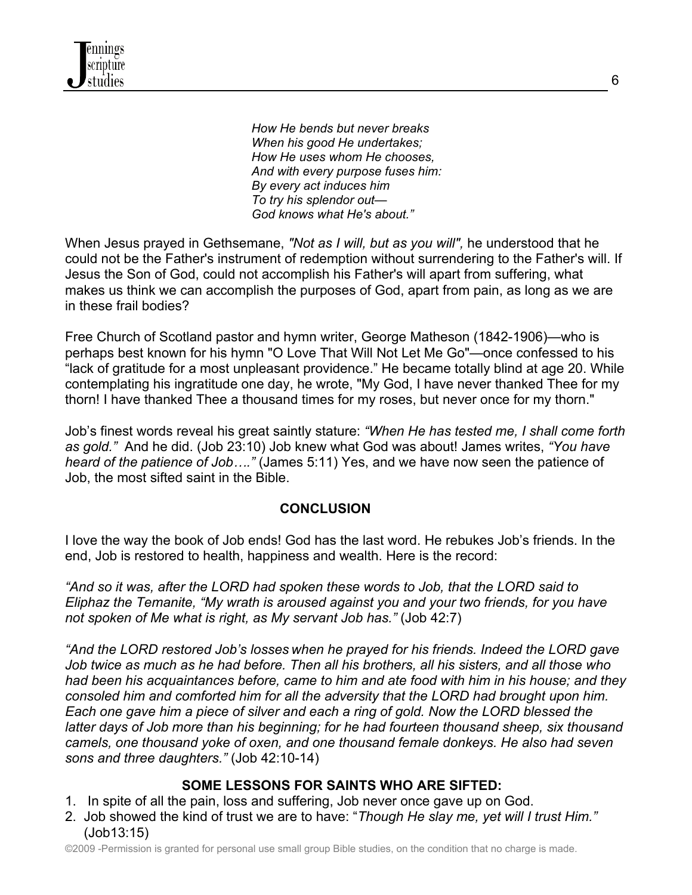

 *How He bends but never breaks When his good He undertakes; How He uses whom He chooses, And with every purpose fuses him: By every act induces him To try his splendor out— God knows what He's about."*

When Jesus prayed in Gethsemane, *"Not as I will, but as you will",* he understood that he could not be the Father's instrument of redemption without surrendering to the Father's will. If Jesus the Son of God, could not accomplish his Father's will apart from suffering, what makes us think we can accomplish the purposes of God, apart from pain, as long as we are in these frail bodies?

Free Church of Scotland pastor and hymn writer, George Matheson (1842-1906)—who is perhaps best known for his hymn "O Love That Will Not Let Me Go"—once confessed to his "lack of gratitude for a most unpleasant providence." He became totally blind at age 20. While contemplating his ingratitude one day, he wrote, "My God, I have never thanked Thee for my thorn! I have thanked Thee a thousand times for my roses, but never once for my thorn."

Job's finest words reveal his great saintly stature: *"When He has tested me, I shall come forth as gold."* And he did. (Job 23:10) Job knew what God was about! James writes, *"You have heard of the patience of Job…."* (James 5:11) Yes, and we have now seen the patience of Job, the most sifted saint in the Bible.

#### **CONCLUSION**

I love the way the book of Job ends! God has the last word. He rebukes Job's friends. In the end, Job is restored to health, happiness and wealth. Here is the record:

*"And so it was, after the LORD had spoken these words to Job, that the LORD said to Eliphaz the Temanite, "My wrath is aroused against you and your two friends, for you have not spoken of Me what is right, as My servant Job has."* (Job 42:7)

*"And the LORD restored Job's losses when he prayed for his friends. Indeed the LORD gave Job twice as much as he had before. Then all his brothers, all his sisters, and all those who had been his acquaintances before, came to him and ate food with him in his house; and they consoled him and comforted him for all the adversity that the LORD had brought upon him. Each one gave him a piece of silver and each a ring of gold. Now the LORD blessed the latter days of Job more than his beginning; for he had fourteen thousand sheep, six thousand camels, one thousand yoke of oxen, and one thousand female donkeys. He also had seven sons and three daughters."* (Job 42:10-14)

#### **SOME LESSONS FOR SAINTS WHO ARE SIFTED:**

- 1.In spite of all the pain, loss and suffering, Job never once gave up on God.
- 2. Job showed the kind of trust we are to have: "*Though He slay me, yet will I trust Him."* (Job13:15)

©2009 -Permission is granted for personal use small group Bible studies, on the condition that no charge is made.